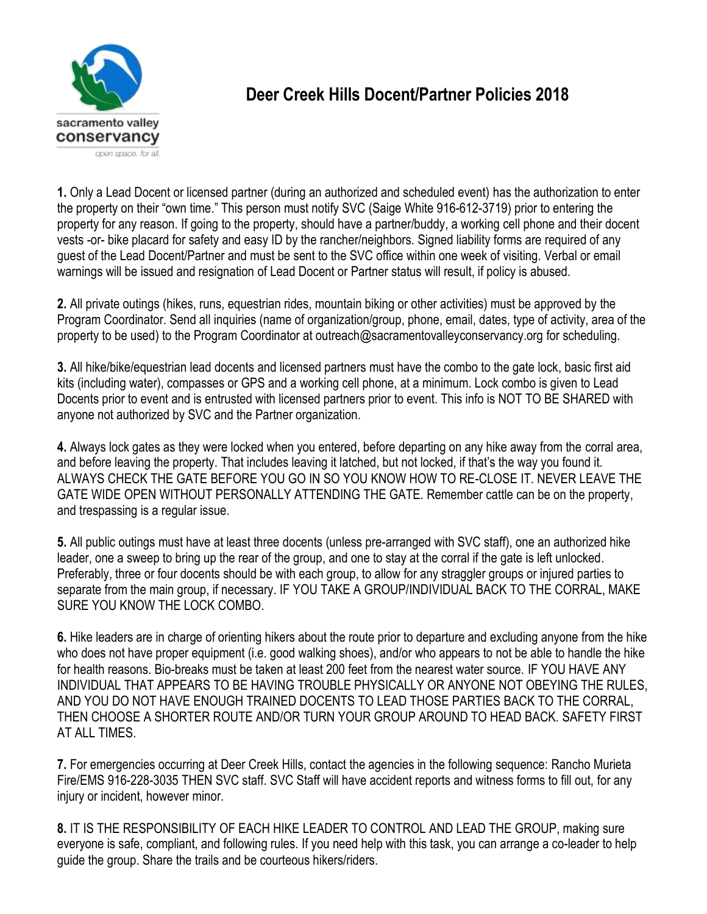

## **Deer Creek Hills Docent/Partner Policies 2018**

**1.** Only a Lead Docent or licensed partner (during an authorized and scheduled event) has the authorization to enter the property on their "own time." This person must notify SVC (Saige White 916-612-3719) prior to entering the property for any reason. If going to the property, should have a partner/buddy, a working cell phone and their docent vests -or- bike placard for safety and easy ID by the rancher/neighbors. Signed liability forms are required of any guest of the Lead Docent/Partner and must be sent to the SVC office within one week of visiting. Verbal or email warnings will be issued and resignation of Lead Docent or Partner status will result, if policy is abused.

**2.** All private outings (hikes, runs, equestrian rides, mountain biking or other activities) must be approved by the Program Coordinator. Send all inquiries (name of organization/group, phone, email, dates, type of activity, area of the property to be used) to the Program Coordinator at outreach@sacramentovalleyconservancy.org for scheduling.

**3.** All hike/bike/equestrian lead docents and licensed partners must have the combo to the gate lock, basic first aid kits (including water), compasses or GPS and a working cell phone, at a minimum. Lock combo is given to Lead Docents prior to event and is entrusted with licensed partners prior to event. This info is NOT TO BE SHARED with anyone not authorized by SVC and the Partner organization.

**4.** Always lock gates as they were locked when you entered, before departing on any hike away from the corral area, and before leaving the property. That includes leaving it latched, but not locked, if that's the way you found it. ALWAYS CHECK THE GATE BEFORE YOU GO IN SO YOU KNOW HOW TO RE-CLOSE IT. NEVER LEAVE THE GATE WIDE OPEN WITHOUT PERSONALLY ATTENDING THE GATE. Remember cattle can be on the property, and trespassing is a regular issue.

**5.** All public outings must have at least three docents (unless pre-arranged with SVC staff), one an authorized hike leader, one a sweep to bring up the rear of the group, and one to stay at the corral if the gate is left unlocked. Preferably, three or four docents should be with each group, to allow for any straggler groups or injured parties to separate from the main group, if necessary. IF YOU TAKE A GROUP/INDIVIDUAL BACK TO THE CORRAL, MAKE SURE YOU KNOW THE LOCK COMBO.

**6.** Hike leaders are in charge of orienting hikers about the route prior to departure and excluding anyone from the hike who does not have proper equipment (i.e. good walking shoes), and/or who appears to not be able to handle the hike for health reasons. Bio-breaks must be taken at least 200 feet from the nearest water source. IF YOU HAVE ANY INDIVIDUAL THAT APPEARS TO BE HAVING TROUBLE PHYSICALLY OR ANYONE NOT OBEYING THE RULES, AND YOU DO NOT HAVE ENOUGH TRAINED DOCENTS TO LEAD THOSE PARTIES BACK TO THE CORRAL, THEN CHOOSE A SHORTER ROUTE AND/OR TURN YOUR GROUP AROUND TO HEAD BACK. SAFETY FIRST AT ALL TIMES.

**7.** For emergencies occurring at Deer Creek Hills, contact the agencies in the following sequence: Rancho Murieta Fire/EMS 916-228-3035 THEN SVC staff. SVC Staff will have accident reports and witness forms to fill out, for any injury or incident, however minor.

**8.** IT IS THE RESPONSIBILITY OF EACH HIKE LEADER TO CONTROL AND LEAD THE GROUP, making sure everyone is safe, compliant, and following rules. If you need help with this task, you can arrange a co-leader to help guide the group. Share the trails and be courteous hikers/riders.